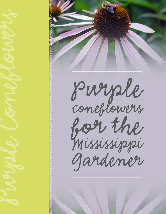

*∞•∞•∞ •∞•∞ •∞•∞ •∞•∞ •∞•∞ •∞•∞*

*Purple coneflower s for the Mississippi Gardener*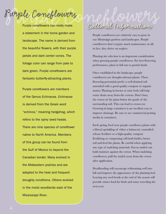Purple coneflowers can really make a statement in the home garden and landscape. The name is derived from the beautiful flowers, with their purple petals and dark center cones. The foliage color can range from pale to dark green. Purple coneflowers are fantastic butterfly-attracting plants.

Purple coneflowers are members of the Genus *Echinacea*. *Echinacea* is derived from the Greek word "echinos," meaning hedgehog, which refers to the spiny seed heads. There are nine species of coneflower native to North America. Members of this group can be found from the Gulf of Mexico to beyond the Canadian border. Many evolved in the Midwestern prairies and are adapted to the heat and frequent droughty conditions. Others evolved in the moist woodlands east of the Mississippi River.

## *Purple Coneflowers Purple Coneflowers Cultural Information*

Purple coneflowers are relatively easy to grow in our Mississippi gardens and landscapes. Purple coneflowers don't require much maintenance at all; in fact, they thrive on neglect.

Planting site selection is an important consideration when growing purple coneflowers. For best flowering performance, plant in full sun to partial shade.

Once established in the landscape, purple coneflowers are drought-tolerant plants. These flowering perennials prefer a well-drained soil amended with a good quality compost or organic matter. Planting in berms or raise beds will help water drain away from the crowns. Don't bury the crown of the plant below the grade of the surrounding soil. This can lead to crown rot. Growing in large containers is an excellent way to improve drainage. Be sure to use commercial potting media in containers.

Each spring, feed your purple coneflower plants with a liberal sprinkling of either a balanced, controlledrelease fertilizer or a high-quality compost. Fertilizing or composting will both build a better soil and feed the plants. Be careful when applying any type of mulching materials. Excess mulch can hold moisture against the crown. When mulching coneflowers, pull the mulch away from the crown after application.

Deadheading will encourage reblooming well into fall and improve the appearance of the planting bed. Leaving any seed heads at the end of the season will provide winter food for birds and some reseeding the next year.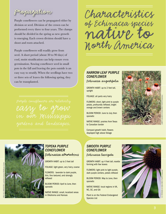*Propagation*

Purple coneflowers can be propagated either by division or seed. Division of the crown can be performed every three to four years. The clumps should be divided in the spring as new growth is emerging. Each crown division should have a shoot and roots attached.

Purple coneflowers will readily grow from seed. A short period (about 30 to 90 days) of cool, moist stratification can help ensure even germination. Sowing coneflower seed in small pots in the fall and leaving the pots outside is an easy way to stratify. When the seedlings have two or three sets of leaves the following spring, they can be transplanted.

*easy to grow* 

*Characteristics of Echinacea species native to North America*

#### *Narrow-leaf Purple Coneflower*

*Echinacea angustifolia*

GROWTH HABIT: up to 2 feet tall, upright

FOLIAGE: all parts very hairy

FLOWERS: short, light pink to purple petals, profoundly reflexed, bright orange and brown centers

BLOOM PERIOD: June to July, then sporadic

NATIVE RANGE: prairies from Texas to Canadian border

Compact growth habit, flowers displayed high above foliage





#### *Topeka Purple Coneflower Echinacea atrorubens*

GROWTH HABIT: up to 3 feet tall

FOLIAGE: light green, very hairy, coarse

FLOWERS: lavender to dark purple, thin, fine textured, and strongly reflexed

BLOOM PERIOD: April to June, then sporadic

NATIVE RANGE: small, localized areas in Oklahoma and Kansas

#### *Smooth Purple Coneflower Echinacea laevigata*

GROWTH HABIT: up 4 feet tall, rosette

forming with few leaves

FLOWERS: light pink to light purple, dark purple centers, petals reflexed

BLOOM PERIOD: May to June, then sporadic

NATIVE RANGE: local regions in VA, NC, SC, and GA

Plant is on the Federal Endangered Species List

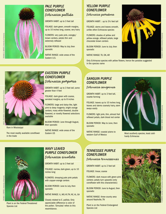

#### *Pale Purple Coneflower Echinacea pallida*

GROWTH HABIT: up to 3 feet tall

FOLIAGE: dark green, smooth margins, up to 10 inches long, coarse, very hairy

FLOWERS: very pale pink, orangey/ brown centers, petals thin and extremely reflexed

BLOOM PERIOD: May to July, then sporadic

NATIVE RANGE: wide areas of the Eastern U.S.

#### *Yellow Purple Coneflower*

*Echinacea paradoxa*

Growth habit: : up to 3½ feet tall

FOLIAGE: stems and leaves smooth, unlike other *Echinacea* species

FLOWERS: shades of yellow and yellow-orange, reflexed petals, large chocolate brown centers

BLOOM PERIOD: June to July, then sporadic

Native range: TX, OK, AR

Only *Echinacea* species with yellow flowers, hence the paradox suggested in the species name



Rare in Mississippi

The most readily available coneflower in the trade

#### *Eastern Purple Coneflower Echinacea purpurea*

GROWTH HABIT: up to 3 feet tall, some greater than 4 feet

FOLIAGE: dark green with coarse, serrated margins, up to 8 inches

Flowers: large and daisy-like, light pink to deep magenta, bright orange centers; many white-flowered, double flowered, or novelty flowered selections available

BLOOM PERIOD: June through August, then sporadic

NATIVE RANGE: wide areas of the Eastern US

#### *Sanguin Purple Coneflower*

*Echinacea sanguinea*

GROWTH HABIT: up to 3 feet tall, rosette forming

FOLIAGE: leaves up to 10 inches long, leaves and stems coarsely hairy, stem sways easily

FLOWERS: light pink, thin, almost frail reflexed petals, dark blood red center

BLOOM PERIOD: May to June, then sporadic

NATIVE RANGE: coastal plains to western Gulf of Mexico



hardy *Echinacea*



Plant is on the Federal Threatened Species List

#### *Wavy Leaved Purple Coneflower Echinacea simulata*

Growth habit: up to 3 feet tall

FOLIAGE: narrow, dark green, up to 10 inches long

FLOWERS: drooping pale pink petals with copper-orange centers

BLOOM PERIOD: June to July, then sporadic

Native range: IL, MO, KY, TN, NC, AL, GA

Closely related to E. pallida. Only appreciable difference is color of the pollen. 'Simulata' refers to this resemblance.

#### *Tennessee Purple Coneflower*

*Echinacea tennesseensis*

GROWTH HABIT: up to 2 feet tall

Foliage: linear, coarse

centers; petals turn upwards (only coneflower with this characteristic)

sporadic

NATIVE RANGE: three-county area around Nashville, TN

Species List



Most southerly species, least cold-

FLOWERS: dark mauve with green-pink

BLOOM PERIOD: June to August, then

Plant is on the Federal Endangered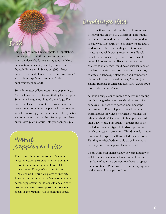## *Landscape Uses*

*Pests*

Purple coneflowers have few pests, but spittlebugs can be a problem in the spring and summer when the flower buds are starting to form. More information on insect pests of perennials can be found in Extension Publication 2369, "Insect Pests of Perennial Plants In the Home Landscape," available at http://msucares.com/pubs/ publications/p2369.pdf.

Sometimes aster yellows occur in large plantings. Aster yellows is a virus transmitted by leaf hoppers. Symptoms include mottling of the foliage. The flowers will start to exhibit a deformation of the flower buds. Sometimes the plant will outgrow the virus the following year. A common control practice is to remove and destroy the infected plants. Never put infested plant material into your compost pile.

*Herbal Supplement Use*

There is much interest in using *Echinacea* in herbal remedies, particularly in those designed to boost the immune system. Three of the native species, E. *augustifolia*, E. *pallida*, and E. *purpurea* are the primary plants of interest. Anyone considering using *Echinacea* or any other herbal supplement should consult a health care professional first to avoid possible serious side effects or interactions with prescription drugs.

The coneflowers included in this publication can be grown and enjoyed in Mississippi. These plants can be incorporated into the landscape or garden in many ways. Because these coneflowers are native wildflowers in Mississippi, they are at home in a naturalized wildflower garden or area. Purple coneflowers can also be part of a more formal perennial flower border. Because they are are drought tolerant, they would be an excellent choice in a large container for those who sometimes forget to water. In landscape plantings, good companion plants include ornamental grasses, Autumn Joy sedum, rudbeckias, Mexican bush sage (*Tagetes lucida*), dusty miller or lamb's ear.

Although purple coneflowers are native and among our favorite garden plants we should make a few concessions in regard to garden and landscape performance. Think of purple coneflowers in Mississippi as short-lived flowering perennials. In other words, don't feel guilty if these plants vanish after a few years. This usually happens due to the cool, damp weather typical of Mississippi winters, which can result in crown rot. This disease is a major problem of purple coneflowers if the soil is too wet. Planting in raised beds, on a slope, or in containers can help but is not a guarantee of survival.

These wonderful plants usually perform and flower well for up to 12 weeks or longer in the heat and humidity of summer, but you may have to replace them eventually. When you do, consider trying some of the new cultivars pictured below.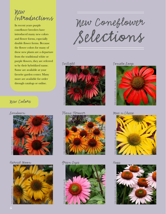*New Introductions*

In recent years purple coneflower breeders have introduced many new colors and flower forms, especially double flower forms. Because the flower colors for many of these new plants are a departure from the traditional white or purple flowers, they are referred to by their hybridized name. Some are available at your favorite garden center. Many more are available for order through catalogs or online.

# **New Colors**



*Harvest Moon Green Eyes*



*New Coneflower Selections*

#### *Twilight*



*Flame Thrower Mac n Cheese*





*Tomato Soup*





Terra Nova Nurseries, Inc., Canby, OR *Hope*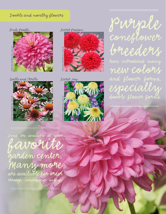#### *Double and novelty flowers*

*Pink Poodle*



*Quills and Thrills Secret Joy*



*Secret Passion*





*Purple coneflower breeders have introduced many new colors and flower forms, especially double flower forms.*

*7*

*Some are available at your*

*favorite garden center. Many more are available for order through catalogs or online.*